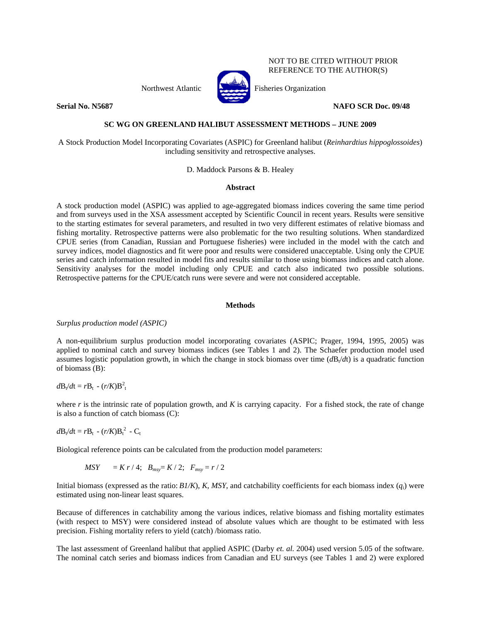Northwest Atlantic Fisheries Organization





NOT TO BE CITED WITHOUT PRIOR REFERENCE TO THE AUTHOR(S)

**Serial No. N5687** NAFO SCR Doc. 09/48

## **SC WG ON GREENLAND HALIBUT ASSESSMENT METHODS – JUNE 2009**

A Stock Production Model Incorporating Covariates (ASPIC) for Greenland halibut (*Reinhardtius hippoglossoides*) including sensitivity and retrospective analyses.

D. Maddock Parsons & B. Healey

## **Abstract**

A stock production model (ASPIC) was applied to age-aggregated biomass indices covering the same time period and from surveys used in the XSA assessment accepted by Scientific Council in recent years. Results were sensitive to the starting estimates for several parameters, and resulted in two very different estimates of relative biomass and fishing mortality. Retrospective patterns were also problematic for the two resulting solutions. When standardized CPUE series (from Canadian, Russian and Portuguese fisheries) were included in the model with the catch and survey indices, model diagnostics and fit were poor and results were considered unacceptable. Using only the CPUE series and catch information resulted in model fits and results similar to those using biomass indices and catch alone. Sensitivity analyses for the model including only CPUE and catch also indicated two possible solutions. Retrospective patterns for the CPUE/catch runs were severe and were not considered acceptable.

## **Methods**

*Surplus production model (ASPIC)* 

A non-equilibrium surplus production model incorporating covariates (ASPIC; Prager, 1994, 1995, 2005) was applied to nominal catch and survey biomass indices (see Tables 1 and 2). The Schaefer production model used assumes logistic population growth, in which the change in stock biomass over time  $(dB_t/dt)$  is a quadratic function of biomass (B):

# $d\mathbf{B}_t/dt = r\mathbf{B}_t - (r/K)\mathbf{B}_t^2$

where *r* is the intrinsic rate of population growth, and *K* is carrying capacity. For a fished stock, the rate of change is also a function of catch biomass (C):

 $d\mathbf{B}_{t}/dt = r\mathbf{B}_{t} - (r/K)\mathbf{B}_{t}^{2} - \mathbf{C}_{t}$ 

Biological reference points can be calculated from the production model parameters:

$$
MSY = K r / 4; B_{msy} = K / 2; F_{msy} = r / 2
$$

Initial biomass (expressed as the ratio:  $B1/K$ ), *K*, *MSY*, and catchability coefficients for each biomass index  $(q_i)$  were estimated using non-linear least squares.

Because of differences in catchability among the various indices, relative biomass and fishing mortality estimates (with respect to MSY) were considered instead of absolute values which are thought to be estimated with less precision. Fishing mortality refers to yield (catch) /biomass ratio.

The last assessment of Greenland halibut that applied ASPIC (Darby *et. al.* 2004) used version 5.05 of the software. The nominal catch series and biomass indices from Canadian and EU surveys (see Tables 1 and 2) were explored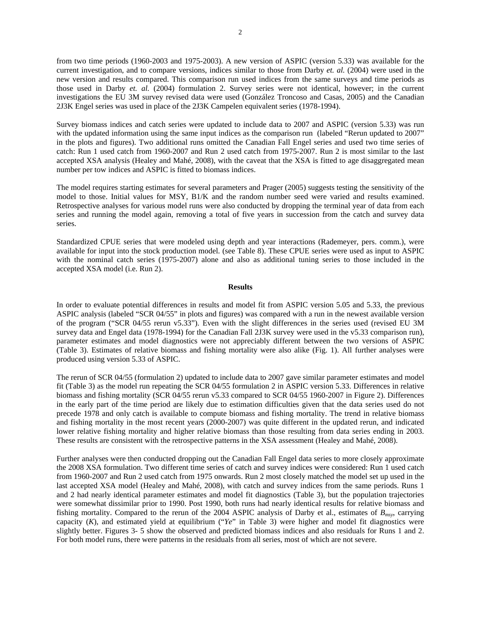from two time periods (1960-2003 and 1975-2003). A new version of ASPIC (version 5.33) was available for the current investigation, and to compare versions, indices similar to those from Darby *et. al.* (2004) were used in the new version and results compared. This comparison run used indices from the same surveys and time periods as those used in Darby *et. al.* (2004) formulation 2. Survey series were not identical, however; in the current investigations the EU 3M survey revised data were used (González Troncoso and Casas, 2005) and the Canadian 2J3K Engel series was used in place of the 2J3K Campelen equivalent series (1978-1994).

Survey biomass indices and catch series were updated to include data to 2007 and ASPIC (version 5.33) was run with the updated information using the same input indices as the comparison run (labeled "Rerun updated to 2007" in the plots and figures). Two additional runs omitted the Canadian Fall Engel series and used two time series of catch: Run 1 used catch from 1960-2007 and Run 2 used catch from 1975-2007. Run 2 is most similar to the last accepted XSA analysis (Healey and Mahé, 2008), with the caveat that the XSA is fitted to age disaggregated mean number per tow indices and ASPIC is fitted to biomass indices.

The model requires starting estimates for several parameters and Prager (2005) suggests testing the sensitivity of the model to those. Initial values for MSY, B1/K and the random number seed were varied and results examined. Retrospective analyses for various model runs were also conducted by dropping the terminal year of data from each series and running the model again, removing a total of five years in succession from the catch and survey data series.

Standardized CPUE series that were modeled using depth and year interactions (Rademeyer, pers. comm.), were available for input into the stock production model. (see Table 8). These CPUE series were used as input to ASPIC with the nominal catch series (1975-2007) alone and also as additional tuning series to those included in the accepted XSA model (i.e. Run 2).

### **Results**

In order to evaluate potential differences in results and model fit from ASPIC version 5.05 and 5.33, the previous ASPIC analysis (labeled "SCR 04/55" in plots and figures) was compared with a run in the newest available version of the program ("SCR 04/55 rerun v5.33"). Even with the slight differences in the series used (revised EU 3M survey data and Engel data (1978-1994) for the Canadian Fall 2J3K survey were used in the v5.33 comparison run), parameter estimates and model diagnostics were not appreciably different between the two versions of ASPIC (Table 3). Estimates of relative biomass and fishing mortality were also alike (Fig. 1). All further analyses were produced using version 5.33 of ASPIC.

The rerun of SCR 04/55 (formulation 2) updated to include data to 2007 gave similar parameter estimates and model fit (Table 3) as the model run repeating the SCR 04/55 formulation 2 in ASPIC version 5.33. Differences in relative biomass and fishing mortality (SCR 04/55 rerun v5.33 compared to SCR 04/55 1960-2007 in Figure 2). Differences in the early part of the time period are likely due to estimation difficulties given that the data series used do not precede 1978 and only catch is available to compute biomass and fishing mortality. The trend in relative biomass and fishing mortality in the most recent years (2000-2007) was quite different in the updated rerun, and indicated lower relative fishing mortality and higher relative biomass than those resulting from data series ending in 2003. These results are consistent with the retrospective patterns in the XSA assessment (Healey and Mahé, 2008).

Further analyses were then conducted dropping out the Canadian Fall Engel data series to more closely approximate the 2008 XSA formulation. Two different time series of catch and survey indices were considered: Run 1 used catch from 1960-2007 and Run 2 used catch from 1975 onwards. Run 2 most closely matched the model set up used in the last accepted XSA model (Healey and Mahé, 2008), with catch and survey indices from the same periods. Runs 1 and 2 had nearly identical parameter estimates and model fit diagnostics (Table 3), but the population trajectories were somewhat dissimilar prior to 1990. Post 1990, both runs had nearly identical results for relative biomass and fishing mortality. Compared to the rerun of the 2004 ASPIC analysis of Darby et al., estimates of *Bmsy*, carrying capacity (*K*), and estimated yield at equilibrium ("*Ye*" in Table 3) were higher and model fit diagnostics were slightly better. Figures 3- 5 show the observed and predicted biomass indices and also residuals for Runs 1 and 2. For both model runs, there were patterns in the residuals from all series, most of which are not severe.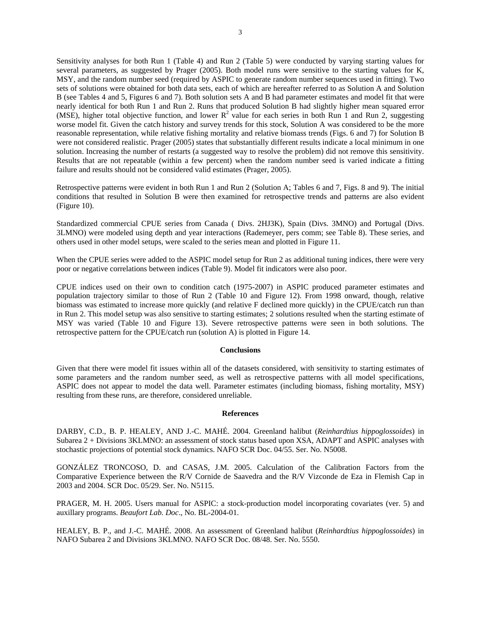Sensitivity analyses for both Run 1 (Table 4) and Run 2 (Table 5) were conducted by varying starting values for several parameters, as suggested by Prager (2005). Both model runs were sensitive to the starting values for K, MSY, and the random number seed (required by ASPIC to generate random number sequences used in fitting). Two sets of solutions were obtained for both data sets, each of which are hereafter referred to as Solution A and Solution B (see Tables 4 and 5, Figures 6 and 7). Both solution sets A and B had parameter estimates and model fit that were nearly identical for both Run 1 and Run 2. Runs that produced Solution B had slightly higher mean squared error (MSE), higher total objective function, and lower  $R^2$  value for each series in both Run 1 and Run 2, suggesting worse model fit. Given the catch history and survey trends for this stock, Solution A was considered to be the more reasonable representation, while relative fishing mortality and relative biomass trends (Figs. 6 and 7) for Solution B were not considered realistic. Prager (2005) states that substantially different results indicate a local minimum in one solution. Increasing the number of restarts (a suggested way to resolve the problem) did not remove this sensitivity. Results that are not repeatable (within a few percent) when the random number seed is varied indicate a fitting failure and results should not be considered valid estimates (Prager, 2005).

Retrospective patterns were evident in both Run 1 and Run 2 (Solution A; Tables 6 and 7, Figs. 8 and 9). The initial conditions that resulted in Solution B were then examined for retrospective trends and patterns are also evident (Figure 10).

Standardized commercial CPUE series from Canada ( Divs. 2HJ3K), Spain (Divs. 3MNO) and Portugal (Divs. 3LMNO) were modeled using depth and year interactions (Rademeyer, pers comm; see Table 8). These series, and others used in other model setups, were scaled to the series mean and plotted in Figure 11.

When the CPUE series were added to the ASPIC model setup for Run 2 as additional tuning indices, there were very poor or negative correlations between indices (Table 9). Model fit indicators were also poor.

CPUE indices used on their own to condition catch (1975-2007) in ASPIC produced parameter estimates and population trajectory similar to those of Run 2 (Table 10 and Figure 12). From 1998 onward, though, relative biomass was estimated to increase more quickly (and relative F declined more quickly) in the CPUE/catch run than in Run 2. This model setup was also sensitive to starting estimates; 2 solutions resulted when the starting estimate of MSY was varied (Table 10 and Figure 13). Severe retrospective patterns were seen in both solutions. The retrospective pattern for the CPUE/catch run (solution A) is plotted in Figure 14.

### **Conclusions**

Given that there were model fit issues within all of the datasets considered, with sensitivity to starting estimates of some parameters and the random number seed, as well as retrospective patterns with all model specifications, ASPIC does not appear to model the data well. Parameter estimates (including biomass, fishing mortality, MSY) resulting from these runs, are therefore, considered unreliable.

### **References**

DARBY, C.D., B. P. HEALEY, AND J.-C. MAHÉ. 2004. Greenland halibut (*Reinhardtius hippoglossoides*) in Subarea 2 + Divisions 3KLMNO: an assessment of stock status based upon XSA, ADAPT and ASPIC analyses with stochastic projections of potential stock dynamics. NAFO SCR Doc. 04/55. Ser. No. N5008.

GONZÁLEZ TRONCOSO, D. and CASAS, J.M. 2005. Calculation of the Calibration Factors from the Comparative Experience between the R/V Cornide de Saavedra and the R/V Vizconde de Eza in Flemish Cap in 2003 and 2004. SCR Doc. 05/29. Ser. No. N5115.

PRAGER, M. H. 2005. Users manual for ASPIC: a stock-production model incorporating covariates (ver. 5) and auxillary programs. *Beaufort Lab. Doc*., No. BL-2004-01.

HEALEY, B. P., and J.-C. MAHÉ. 2008. An assessment of Greenland halibut (*Reinhardtius hippoglossoides*) in NAFO Subarea 2 and Divisions 3KLMNO. NAFO SCR Doc. 08/48. Ser. No. 5550.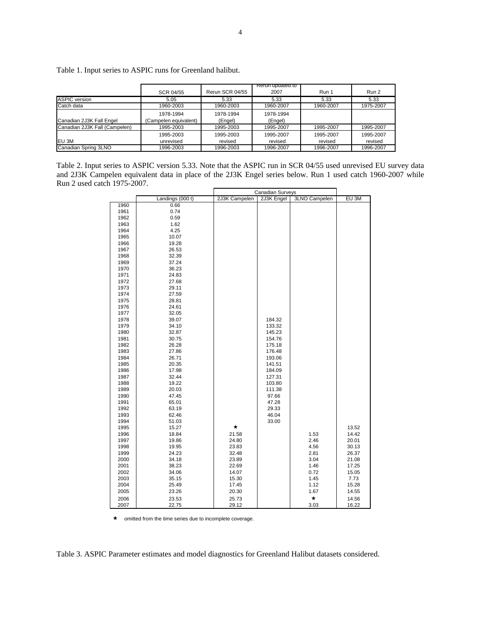|                               |                       |                 | Rerun updated to |           |           |
|-------------------------------|-----------------------|-----------------|------------------|-----------|-----------|
|                               | SCR 04/55             | Rerun SCR 04/55 | 2007             | Run 1     | Run 2     |
| <b>ASPIC</b> version          | 5.05                  | 5.33            | 5.33             | 5.33      | 5.33      |
| Catch data                    | 1960-2003             | 1960-2003       | 1960-2007        | 1960-2007 | 1975-2007 |
|                               | 1978-1994             | 1978-1994       | 1978-1994        |           |           |
| Canadian 2J3K Fall Engel      | (Campelen equivalent) | (Engel)         | (Engel)          |           |           |
| Canadian 2J3K Fall (Campelen) | 1995-2003             | 1995-2003       | 1995-2007        | 1995-2007 | 1995-2007 |
|                               | 1995-2003             | 1995-2003       | 1995-2007        | 1995-2007 | 1995-2007 |
| <b>EU 3M</b>                  | unrevised             | revised         | revised          | revised   | revised   |
| Canadian Spring 3LNO          | 1996-2003             | 1996-2003       | 1996-2007        | 1996-2007 | 1996-2007 |

Table 1. Input series to ASPIC runs for Greenland halibut.

Table 2. Input series to ASPIC version 5.33. Note that the ASPIC run in SCR 04/55 used unrevised EU survey data and 2J3K Campelen equivalent data in place of the 2J3K Engel series below. Run 1 used catch 1960-2007 while Run 2 used catch 1975-2007.

|      |                  | <b>Canadian Surveys</b> |            |               |       |
|------|------------------|-------------------------|------------|---------------|-------|
|      | Landings (000 t) | 2J3K Campelen           | 2J3K Engel | 3LNO Campelen | EU 3M |
| 1960 | 0.66             |                         |            |               |       |
| 1961 | 0.74             |                         |            |               |       |
| 1962 | 0.59             |                         |            |               |       |
| 1963 | 1.62             |                         |            |               |       |
| 1964 | 4.25             |                         |            |               |       |
| 1965 | 10.07            |                         |            |               |       |
| 1966 | 19.28            |                         |            |               |       |
| 1967 | 26.53            |                         |            |               |       |
| 1968 | 32.39            |                         |            |               |       |
| 1969 | 37.24            |                         |            |               |       |
| 1970 | 36.23            |                         |            |               |       |
| 1971 | 24.83            |                         |            |               |       |
| 1972 | 27.68            |                         |            |               |       |
| 1973 | 29.11            |                         |            |               |       |
| 1974 | 27.59            |                         |            |               |       |
| 1975 | 28.81            |                         |            |               |       |
| 1976 | 24.61            |                         |            |               |       |
| 1977 | 32.05            |                         |            |               |       |
| 1978 | 39.07            |                         | 184.32     |               |       |
| 1979 | 34.10            |                         | 133.32     |               |       |
| 1980 | 32.87            |                         | 145.23     |               |       |
| 1981 | 30.75            |                         | 154.76     |               |       |
| 1982 | 26.28            |                         | 175.18     |               |       |
| 1983 | 27.86            |                         | 176.48     |               |       |
| 1984 | 26.71            |                         | 193.06     |               |       |
| 1985 | 20.35            |                         | 141.51     |               |       |
| 1986 | 17.98            |                         | 184.09     |               |       |
| 1987 | 32.44            |                         | 127.31     |               |       |
| 1988 | 19.22            |                         | 103.80     |               |       |
| 1989 | 20.03            |                         | 111.38     |               |       |
| 1990 | 47.45            |                         | 97.66      |               |       |
| 1991 | 65.01            |                         | 47.28      |               |       |
| 1992 | 63.19            |                         | 29.33      |               |       |
| 1993 | 62.46            |                         | 46.04      |               |       |
| 1994 | 51.03            |                         | 33.00      |               |       |
| 1995 | 15.27            | $\star$                 |            |               | 13.52 |
| 1996 | 18.84            | 21.58                   |            | 1.53          | 14.42 |
| 1997 | 19.86            | 24.80                   |            | 2.46          | 20.01 |
| 1998 | 19.95            | 23.83                   |            | 4.56          | 30.13 |
| 1999 | 24.23            | 32.48                   |            | 2.81          | 26.37 |
| 2000 | 34.18            | 23.89                   |            | 3.04          | 21.08 |
| 2001 | 38.23            | 22.69                   |            | 1.46          | 17.25 |
| 2002 | 34.06            | 14.07                   |            | 0.72          | 15.05 |
| 2003 | 35.15            | 15.30                   |            | 1.45          | 7.73  |
| 2004 | 25.49            | 17.45                   |            | 1.12          | 15.28 |
| 2005 | 23.26            | 20.30                   |            | 1.67          | 14.55 |
| 2006 | 23.53            | 25.73                   |            | $\star$       | 14.56 |
| 2007 | 22.75            | 29.12                   |            | 3.03          | 16.22 |

 $\star$  omitted from the time series due to incomplete coverage.

Table 3. ASPIC Parameter estimates and model diagnostics for Greenland Halibut datasets considered.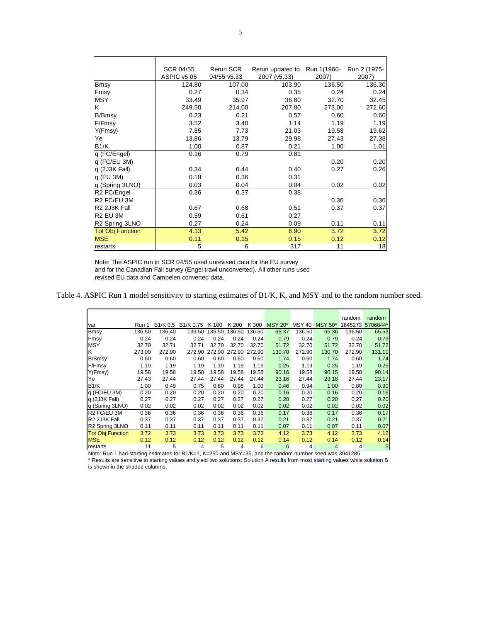|                                       | SCR 04/55   | Rerun SCR   | Rerun updated to Run 1(1960- Run 2 (1975- |        |        |
|---------------------------------------|-------------|-------------|-------------------------------------------|--------|--------|
|                                       | ASPIC v5.05 | 04/55 v5.33 | 2007 (v5.33)                              | 2007)  | 2007)  |
| <b>Bmsy</b>                           | 124.80      | 107.00      | 103.90                                    | 136.50 | 136.30 |
| Fmsy                                  | 0.27        | 0.34        | 0.35                                      | 0.24   | 0.24   |
| <b>MSY</b>                            | 33.49       | 35.97       | 36.60                                     | 32.70  | 32.45  |
| ΙK                                    | 249.50      | 214.00      | 207.80                                    | 273.00 | 272.60 |
| <b>B/Bmsy</b>                         | 0.23        | 0.21        | 0.57                                      | 0.60   | 0.60   |
| F/Fmsy                                | 3.52        | 3.40        | 1.14                                      | 1.19   | 1.19   |
| Y(Fmsy)                               | 7.85        | 7.73        | 21.03                                     | 19.58  | 19.62  |
| Ye                                    | 13.86       | 13.79       | 29.98                                     | 27.43  | 27.38  |
| B <sub>1</sub> /K                     | 1.00        | 0.87        | 0.21                                      | 1.00   | 1.01   |
| q (FC/Engel)                          | 0.16        | 0.79        | 0.81                                      |        |        |
| q (FC/EU 3M)                          |             |             |                                           | 0.20   | 0.20   |
| q (2J3K Fall)                         | 0.34        | 0.44        | 0.40                                      | 0.27   | 0.26   |
| $q$ (EU 3M)                           | 0.18        | 0.36        | 0.31                                      |        |        |
| q (Spring 3LNO)                       | 0.03        | 0.04        | 0.04                                      | 0.02   | 0.02   |
| R2 FC/Engel                           | 0.36        | 0.37        | 0.38                                      |        |        |
| R <sub>2</sub> FC/EU 3M               |             |             |                                           | 0.36   | 0.36   |
| R <sub>2</sub> 2J <sub>3</sub> K Fall | 0.67        | 0.68        | 0.51                                      | 0.37   | 0.37   |
| IR2 EU 3M                             | 0.59        | 0.61        | 0.27                                      |        |        |
| R <sub>2</sub> Spring 3LNO            | 0.27        | 0.24        | 0.09                                      | 0.11   | 0.11   |
| <b>Tot Obj Function</b>               | 4.13        | 5.42        | 6.90                                      | 3.72   | 3.72   |
| <b>MSE</b>                            | 0.11        | 0.15        | 0.15                                      | 0.12   | 0.12   |
| restarts                              | 5           | 6           | 317                                       | 11     | 18     |

Note: The ASPIC run in SCR 04/55 used unrevised data for the EU survey and for the Canadian Fall survey (Engel trawl unconverted). All other runs used revised EU data and Campelen converted data.

Table 4. ASPIC Run 1 model sensitivity to starting estimates of B1/K, K, and MSY and to the random number seed.

|                            |        |          |           |                             |        |        |                |               |                | random  | random         |
|----------------------------|--------|----------|-----------|-----------------------------|--------|--------|----------------|---------------|----------------|---------|----------------|
| var                        | Run 1  | B1/K 0.5 | B1/K 0.75 | K 100                       | K 200  | K 300  | <b>MSY 20*</b> | <b>MSY 40</b> | <b>MSY 50*</b> | 1845273 | 5706844*       |
| Bmsy                       | 136.50 | 136.40   | 136.50    | 136.50                      | 136.50 | 136.50 | 65.37          | 136.50        | 65.36          | 136.50  | 65.53          |
| Fmsy                       | 0.24   | 0.24     | 0.24      | 0.24                        | 0.24   | 0.24   | 0.79           | 0.24          | 0.79           | 0.24    | 0.79           |
| <b>MSY</b>                 | 32.70  | 32.71    | 32.71     | 32.70                       | 32.70  | 32.70  | 51.72          | 32.70         | 51.72          | 32.70   | 51.72          |
| lκ                         | 273.00 | 272.90   |           | 272.90 272.90 272.90 272.90 |        |        | 130.70         | 272.90        | 130.70         | 272.90  | 131.10         |
| B/Bmsy                     | 0.60   | 0.60     | 0.60      | 0.60                        | 0.60   | 0.60   | 1.74           | 0.60          | 1.74           | 0.60    | 1.74           |
| F/Fmsy                     | 1.19   | 1.19     | 1.19      | 1.19                        | 1.19   | 1.19   | 0.25           | 1.19          | 0.25           | 1.19    | 0.25           |
| Y(Fmsy)                    | 19.58  | 19.58    | 19.58     | 19.58                       | 19.58  | 19.58  | 90.16          | 19.58         | 90.15          | 19.58   | 90.14          |
| Ye                         | 27.43  | 27.44    | 27.44     | 27.44                       | 27.44  | 27.44  | 23.16          | 27.44         | 23.18          | 27.44   | 23.17          |
| B1/K                       | 1.00   | 0.49     | 0.75      | 0.80                        | 0.98   | 1.00   | 0.46           | 0.94          | 1.00           | 0.80    | 0.90           |
| q (FC/EU 3M)               | 0.20   | 0.20     | 0.20      | 0.20                        | 0.20   | 0.20   | 0.16           | 0.20          | 0.16           | 0.20    | 0.16           |
| q (2J3K Fall)              | 0.27   | 0.27     | 0.27      | 0.27                        | 0.27   | 0.27   | 0.20           | 0.27          | 0.20           | 0.27    | 0.20           |
| q (Spring 3LNO)            | 0.02   | 0.02     | 0.02      | 0.02                        | 0.02   | 0.02   | 0.02           | 0.02          | 0.02           | 0.02    | 0.02           |
| R2 FC/EU 3M                | 0.36   | 0.36     | 0.36      | 0.36                        | 0.36   | 0.36   | 0.17           | 0.36          | 0.17           | 0.36    | 0.17           |
| R2 2J3K Fall               | 0.37   | 0.37     | 0.37      | 0.37                        | 0.37   | 0.37   | 0.21           | 0.37          | 0.21           | 0.37    | 0.21           |
| R <sub>2</sub> Spring 3LNO | 0.11   | 0.11     | 0.11      | 0.11                        | 0.11   | 0.11   | 0.07           | 0.11          | 0.07           | 0.11    | 0.07           |
| <b>Tot Obj Function</b>    | 3.72   | 3.73     | 3.73      | 3.73                        | 3.73   | 3.73   | 4.12           | 3.73          | 4.12           | 3.73    | 4.12           |
| <b>MSE</b>                 | 0.12   | 0.12     | 0.12      | 0.12                        | 0.12   | 0.12   | 0.14           | 0.12          | 0.14           | 0.12    | 0.14           |
| restarts                   | 11     | 5        | 4         | 5                           | 4      | 6      | 6              | 4             | 4              | 4       | 5 <sub>5</sub> |

Note: Run 1 had starting estimates for B1/K=1, K=250 and MSY=35, and the random number seed was 3941285.

\* Results are sensitive to starting values and yield two solutions: Solution A results from most starting values while solution B is shown in the shaded columns.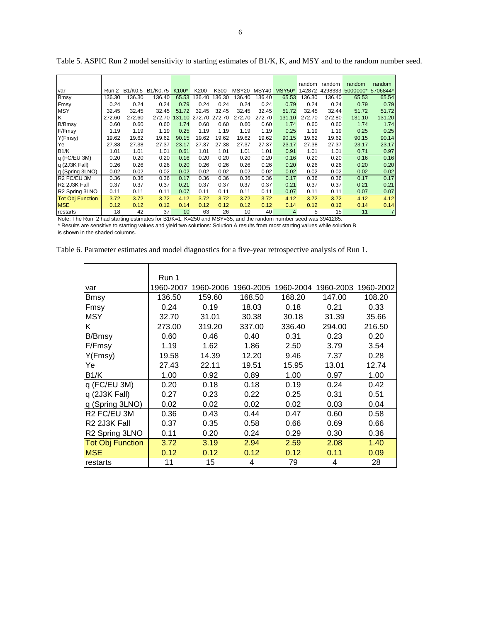|                            |        |        |                  |                         |               |                            |                |        |                    | random | random        | random   | random   |
|----------------------------|--------|--------|------------------|-------------------------|---------------|----------------------------|----------------|--------|--------------------|--------|---------------|----------|----------|
| <b>var</b>                 | Run 2  |        | B1/K0.5 B1/K0.75 | K100*                   | K200          | K300                       |                |        | MSY20 MSY40 MSY50* | 142872 | 4298333       | 5000000* | 5706844* |
| Bmsy                       | 136.30 | 136.30 | 136.40           | 65.53                   | 136.40        | 136.30                     | 136.40         | 136.40 | 65.53              | 136.30 | 136.40        | 65.53    | 65.54    |
| Fmsy                       | 0.24   | 0.24   | 0.24             | 0.79                    | 0.24          | 0.24                       | 0.24           | 0.24   | 0.79               | 0.24   | 0.24          | 0.79     | 0.79     |
| <b>IMSY</b>                | 32.45  | 32.45  | 32.45            | 51.72                   | 32.45         | 32.45                      | 32.45          | 32.45  | 51.72              | 32.45  | 32.44         | 51.72    | 51.72    |
| lκ                         | 272.60 | 272.60 | 272.70           |                         | 131.10 272.70 | 272.70                     | 272.70         | 272.70 | 131.10             | 272.70 | 272.80        | 131.10   | 131.20   |
| <b>B/Bmsy</b>              | 0.60   | 0.60   | 0.60             | 1.74                    | 0.60          | 0.60                       | 0.60           | 0.60   | 1.74               | 0.60   | 0.60          | 1.74     | 1.74     |
| F/Fmsy                     | 1.19   | 1.19   | 1.19             | 0.25                    | 1.19          | 1.19                       | 1.19           | 1.19   | 0.25               | 1.19   | 1.19          | 0.25     | 0.25     |
| Y(Fmsy)                    | 19.62  | 19.62  | 19.62            | 90.15                   | 19.62         | 19.62                      | 19.62          | 19.62  | 90.15              | 19.62  | 19.62         | 90.15    | 90.14    |
| Ye                         | 27.38  | 27.38  | 27.37            | 23.17                   | 27.37         | 27.38                      | 27.37          | 27.37  | 23.17              | 27.38  | 27.37         | 23.17    | 23.17    |
| B <sub>1</sub> /K          | 1.01   | 1.01   | 1.01             | 0.61                    | 1.01          | 1.01                       | 1.01           | 1.01   | 0.91               | 1.01   | 1.01          | 0.71     | 0.97     |
| q (FC/EU 3M)               | 0.20   | 0.20   | 0.20             | 0.16                    | 0.20          | 0.20                       | 0.20           | 0.20   | 0.16               | 0.20   | 0.20          | 0.16     | 0.16     |
| q (2J3K Fall)              | 0.26   | 0.26   | 0.26             | 0.20                    | 0.26          | 0.26                       | 0.26           | 0.26   | 0.20               | 0.26   | 0.26          | 0.20     | 0.20     |
| q (Spring 3LNO)            | 0.02   | 0.02   | 0.02             | 0.02                    | 0.02          | 0.02                       | 0.02           | 0.02   | 0.02               | 0.02   | 0.02          | 0.02     | 0.02     |
| <b>R2 FC/EU 3M</b>         | 0.36   | 0.36   | 0.36             | 0.17                    | 0.36          | 0.36                       | 0.36           | 0.36   | 0.17               | 0.36   | 0.36          | 0.17     | 0.17     |
| R2 2J3K Fall               | 0.37   | 0.37   | 0.37             | 0.21                    | 0.37          | 0.37                       | 0.37           | 0.37   | 0.21               | 0.37   | 0.37          | 0.21     | 0.21     |
| R <sub>2</sub> Spring 3LNO | 0.11   | 0.11   | 0.11             | 0.07                    | 0.11          | 0.11                       | 0.11           | 0.11   | 0.07               | 0.11   | 0.11          | 0.07     | 0.07     |
| <b>Tot Obj Function</b>    | 3.72   | 3.72   | 3.72             | 4.12                    | 3.72          | 3.72                       | 3.72           | 3.72   | 4.12               | 3.72   | 3.72          | 4.12     | 4.12     |
| <b>MSE</b>                 | 0.12   | 0.12   | 0.12             | 0.14                    | 0.12          | 0.12                       | 0.12           | 0.12   | 0.14               | 0.12   | 0.12          | 0.14     | 0.14     |
| restarts<br>$\mathbf{r}$   | 18     | 42     | 37               | 10<br>$P \cup U \cup U$ | 63            | 26<br>$\sim$ $\sim$ $\sim$ | 10<br>$\cdots$ | 40     | $\overline{4}$     | 5      | 15<br>0011000 | 11       |          |

Table 5. ASPIC Run 2 model sensitivity to starting estimates of B1/K, K, and MSY and to the random number seed.

Note: The Run 2 had starting estimates for B1/K=1, K=250 and MSY=35, and the random number seed was 3941285.

\* Results are sensitive to starting values and yield two solutions: Solution A results from most starting values while solution B is shown in the shaded columns.

| Table 6. Parameter estimates and model diagnostics for a five-year retrospective analysis of Run 1. |  |  |  |  |
|-----------------------------------------------------------------------------------------------------|--|--|--|--|
|                                                                                                     |  |  |  |  |

|                         | Run 1     |           |           |           |           |           |
|-------------------------|-----------|-----------|-----------|-----------|-----------|-----------|
| var                     | 1960-2007 | 1960-2006 | 1960-2005 | 1960-2004 | 1960-2003 | 1960-2002 |
| Bmsy                    | 136.50    | 159.60    | 168.50    | 168.20    | 147.00    | 108.20    |
| Fmsy                    | 0.24      | 0.19      | 18.03     | 0.18      | 0.21      | 0.33      |
| <b>MSY</b>              | 32.70     | 31.01     | 30.38     | 30.18     | 31.39     | 35.66     |
| Κ                       | 273.00    | 319.20    | 337.00    | 336.40    | 294.00    | 216.50    |
| B/Bmsy                  | 0.60      | 0.46      | 0.40      | 0.31      | 0.23      | 0.20      |
| F/Fmsy                  | 1.19      | 1.62      | 1.86      | 2.50      | 3.79      | 3.54      |
| Y(Fmsy)                 | 19.58     | 14.39     | 12.20     | 9.46      | 7.37      | 0.28      |
| Ye                      | 27.43     | 22.11     | 19.51     | 15.95     | 13.01     | 12.74     |
| B1/K                    | 1.00      | 0.92      | 0.89      | 1.00      | 0.97      | 1.00      |
| q (FC/EU 3M)            | 0.20      | 0.18      | 0.18      | 0.19      | 0.24      | 0.42      |
| q (2J3K Fall)           | 0.27      | 0.23      | 0.22      | 0.25      | 0.31      | 0.51      |
| q (Spring 3LNO)         | 0.02      | 0.02      | 0.02      | 0.02      | 0.03      | 0.04      |
| R2 FC/EU 3M             | 0.36      | 0.43      | 0.44      | 0.47      | 0.60      | 0.58      |
| R2 2J3K Fall            | 0.37      | 0.35      | 0.58      | 0.66      | 0.69      | 0.66      |
| R2 Spring 3LNO          | 0.11      | 0.20      | 0.24      | 0.29      | 0.30      | 0.36      |
| <b>Tot Obj Function</b> | 3.72      | 3.19      | 2.94      | 2.59      | 2.08      | 1.40      |
| <b>MSE</b>              | 0.12      | 0.12      | 0.12      | 0.12      | 0.11      | 0.09      |
| restarts                | 11        | 15        | 4         | 79        | 4         | 28        |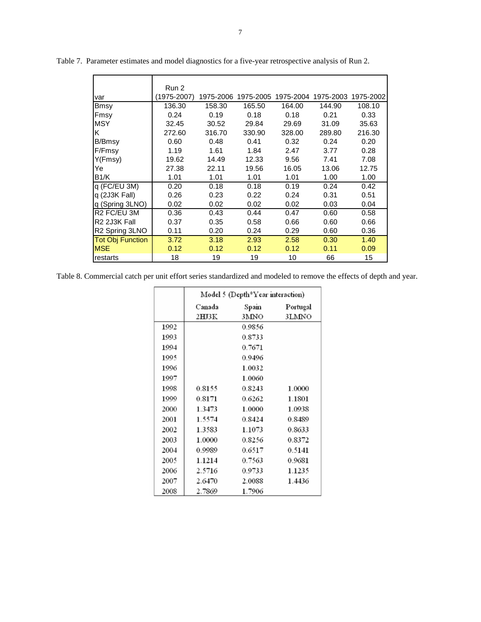|                                       | Run 2       |        |                               |        |           |           |
|---------------------------------------|-------------|--------|-------------------------------|--------|-----------|-----------|
| var                                   | (1975-2007) |        | 1975-2006 1975-2005 1975-2004 |        | 1975-2003 | 1975-2002 |
| <b>Bmsy</b>                           | 136.30      | 158.30 | 165.50                        | 164.00 | 144.90    | 108.10    |
| Fmsy                                  | 0.24        | 0.19   | 0.18                          | 0.18   | 0.21      | 0.33      |
| <b>MSY</b>                            | 32.45       | 30.52  | 29.84                         | 29.69  | 31.09     | 35.63     |
| Κ                                     | 272.60      | 316.70 | 330.90                        | 328.00 | 289.80    | 216.30    |
| B/Bmsy                                | 0.60        | 0.48   | 0.41                          | 0.32   | 0.24      | 0.20      |
| F/Fmsy                                | 1.19        | 1.61   | 1.84                          | 2.47   | 3.77      | 0.28      |
| Y(Fmsy)                               | 19.62       | 14.49  | 12.33                         | 9.56   | 7.41      | 7.08      |
| Ye                                    | 27.38       | 22.11  | 19.56                         | 16.05  | 13.06     | 12.75     |
| B1/K                                  | 1.01        | 1.01   | 1.01                          | 1.01   | 1.00      | 1.00      |
| $q$ (FC/EU 3M)                        | 0.20        | 0.18   | 0.18                          | 0.19   | 0.24      | 0.42      |
| q (2J3K Fall)                         | 0.26        | 0.23   | 0.22                          | 0.24   | 0.31      | 0.51      |
| q (Spring 3LNO)                       | 0.02        | 0.02   | 0.02                          | 0.02   | 0.03      | 0.04      |
| R <sub>2</sub> FC/EU 3M               | 0.36        | 0.43   | 0.44                          | 0.47   | 0.60      | 0.58      |
| R <sub>2</sub> 2J <sub>3</sub> K Fall | 0.37        | 0.35   | 0.58                          | 0.66   | 0.60      | 0.66      |
| R <sub>2</sub> Spring 3LNO            | 0.11        | 0.20   | 0.24                          | 0.29   | 0.60      | 0.36      |
| <b>Tot Obj Function</b>               | 3.72        | 3.18   | 2.93                          | 2.58   | 0.30      | 1.40      |
| <b>MSE</b>                            | 0.12        | 0.12   | 0.12                          | 0.12   | 0.11      | 0.09      |
| restarts                              | 18          | 19     | 19                            | 10     | 66        | 15        |

Table 7. Parameter estimates and model diagnostics for a five-year retrospective analysis of Run 2.

Table 8. Commercial catch per unit effort series standardized and modeled to remove the effects of depth and year.

|      | Model 5 (Depth*Year interaction) |        |          |  |  |  |  |
|------|----------------------------------|--------|----------|--|--|--|--|
|      | Canada                           | Spain  | Portugal |  |  |  |  |
|      | 2HJ3K                            | 3MNO   | 3LMNO    |  |  |  |  |
| 1992 |                                  | 0.9856 |          |  |  |  |  |
| 1993 |                                  | 0.8733 |          |  |  |  |  |
| 1994 |                                  | 0.7671 |          |  |  |  |  |
| 1995 |                                  | 0.9496 |          |  |  |  |  |
| 1996 |                                  | 1.0032 |          |  |  |  |  |
| 1997 |                                  | 1.0060 |          |  |  |  |  |
| 1998 | 0.8155                           | 0.8243 | 1.0000   |  |  |  |  |
| 1999 | 0.8171                           | 0.6262 | 1.1801   |  |  |  |  |
| 2000 | 1.3473                           | 1.0000 | 1.0938   |  |  |  |  |
| 2001 | 1.5574                           | 0.8424 | 0.8489   |  |  |  |  |
| 2002 | 1.3583                           | 1.1073 | 0.8633   |  |  |  |  |
| 2003 | 1.0000                           | 0.8256 | 0.8372   |  |  |  |  |
| 2004 | 0.9989                           | 0.6517 | 0.5141   |  |  |  |  |
| 2005 | 1.1214                           | 0.7563 | 0.9681   |  |  |  |  |
| 2006 | 2.5716                           | 0.9733 | 1.1235   |  |  |  |  |
| 2007 | 2.6470                           | 2.0088 | 1.4436   |  |  |  |  |
| 2008 | 2.7869                           | 1.7906 |          |  |  |  |  |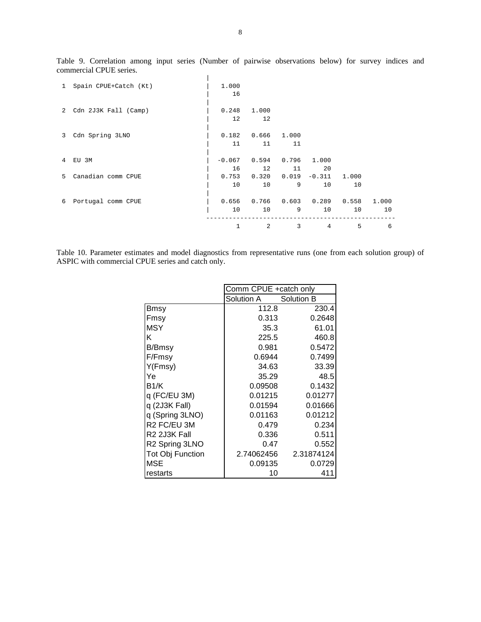| $\mathbf{1}$ | Spain CPUE+Catch (Kt) | 1.000    |                   |                 |                 |       |       |
|--------------|-----------------------|----------|-------------------|-----------------|-----------------|-------|-------|
|              |                       | 16       |                   |                 |                 |       |       |
|              |                       |          |                   |                 |                 |       |       |
| 2            | Cdn 2J3K Fall (Camp)  | 0.248    | 1.000             |                 |                 |       |       |
|              |                       | 12       | 12                |                 |                 |       |       |
|              |                       |          |                   |                 |                 |       |       |
| 3            | Cdn Spring 3LNO       | 0.182    | 0.666             | 1.000           |                 |       |       |
|              |                       | 11       | 11                | 11              |                 |       |       |
|              |                       |          |                   |                 |                 |       |       |
| 4            | EU 3M                 | $-0.067$ | 0.594             | 0.796           | 1,000           |       |       |
|              |                       | 16       | $12 \overline{ }$ | 11              | 20              |       |       |
| 5            | Canadian comm CPUE    | 0.753    | 0.320             |                 | $0.019 - 0.311$ | 1.000 |       |
|              |                       | 10       | 10                | 9               | 10              | 10    |       |
|              |                       |          |                   |                 |                 |       |       |
| 6            | Portugal comm CPUE    | 0.656    |                   | $0.766$ $0.603$ | 0.289           | 0.558 | 1,000 |
|              |                       | 10       | 10                | 9               | 10              | 10    | 10    |
|              |                       |          |                   |                 |                 |       |       |
|              |                       |          | 2                 | 3               | $\overline{4}$  | 5     | 6     |

Table 9. Correlation among input series (Number of pairwise observations below) for survey indices and commercial CPUE series.

Table 10. Parameter estimates and model diagnostics from representative runs (one from each solution group) of ASPIC with commercial CPUE series and catch only.

|                            | Comm CPUE +catch only |            |
|----------------------------|-----------------------|------------|
|                            | Solution A            | Solution B |
| <b>Bmsy</b>                | 112.8                 | 230.4      |
| Fmsy                       | 0.313                 | 0.2648     |
| <b>MSY</b>                 | 35.3                  | 61.01      |
| κ                          | 225.5                 | 460.8      |
| B/Bmsy                     | 0.981                 | 0.5472     |
| F/Fmsy                     | 0.6944                | 0.7499     |
| Y(Fmsy)                    | 34.63                 | 33.39      |
| Ye                         | 35.29                 | 48.5       |
| B1/K                       | 0.09508               | 0.1432     |
| q (FC/EU 3M)               | 0.01215               | 0.01277    |
| q (2J3K Fall)              | 0.01594               | 0.01666    |
| q (Spring 3LNO)            | 0.01163               | 0.01212    |
| R <sub>2</sub> FC/EU 3M    | 0.479                 | 0.234      |
| R2 2J3K Fall               | 0.336                 | 0.511      |
| R <sub>2</sub> Spring 3LNO | 0.47                  | 0.552      |
| Tot Obj Function           | 2.74062456            | 2.31874124 |
| <b>MSE</b>                 | 0.09135               | 0.0729     |
| restarts                   | 10                    | 411        |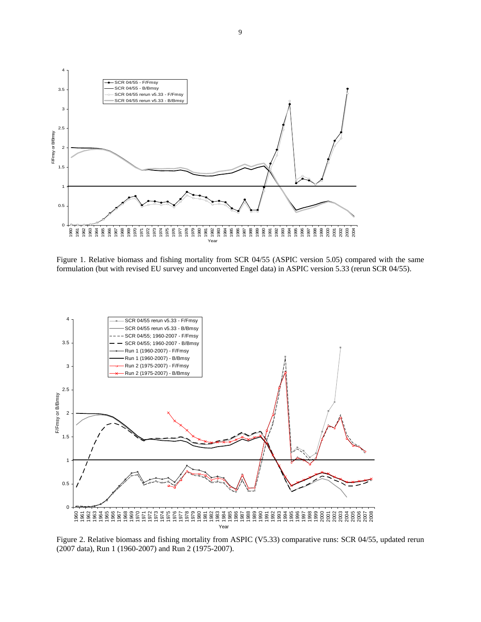

Figure 1. Relative biomass and fishing mortality from SCR 04/55 (ASPIC version 5.05) compared with the same formulation (but with revised EU survey and unconverted Engel data) in ASPIC version 5.33 (rerun SCR 04/55).



Figure 2. Relative biomass and fishing mortality from ASPIC (V5.33) comparative runs: SCR 04/55, updated rerun (2007 data), Run 1 (1960-2007) and Run 2 (1975-2007).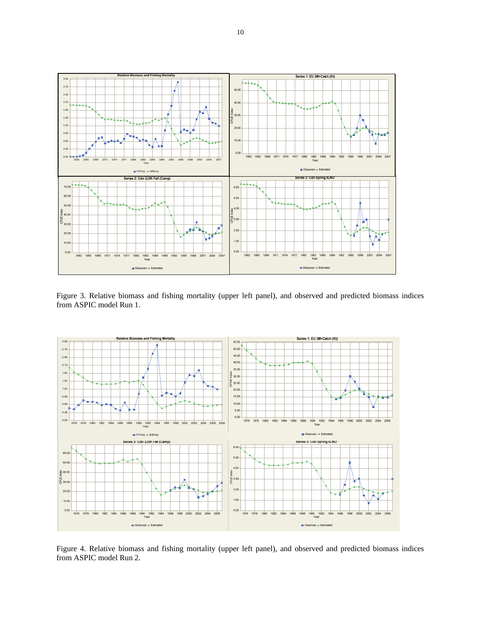

Figure 3. Relative biomass and fishing mortality (upper left panel), and observed and predicted biomass indices from ASPIC model Run 1.



Figure 4. Relative biomass and fishing mortality (upper left panel), and observed and predicted biomass indices from ASPIC model Run 2.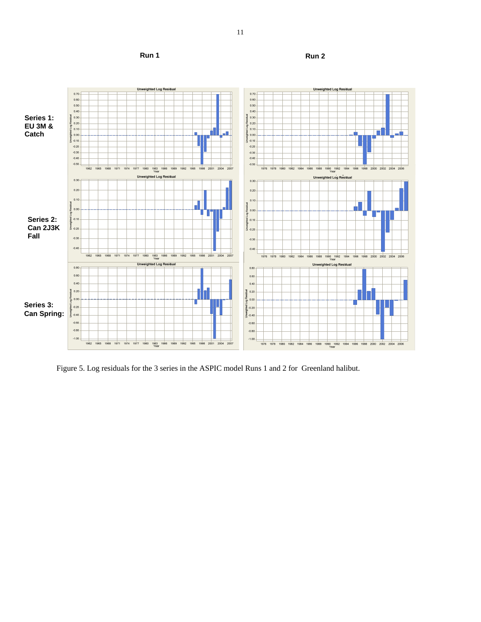**Run 1** Run 2



Figure 5. Log residuals for the 3 series in the ASPIC model Runs 1 and 2 for Greenland halibut.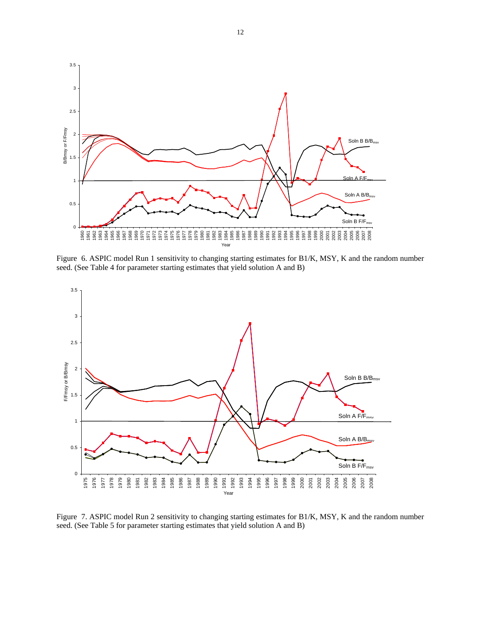

Figure 6. ASPIC model Run 1 sensitivity to changing starting estimates for B1/K, MSY, K and the random number seed. (See Table 4 for parameter starting estimates that yield solution A and B)



Figure 7. ASPIC model Run 2 sensitivity to changing starting estimates for B1/K, MSY, K and the random number seed. (See Table 5 for parameter starting estimates that yield solution A and B)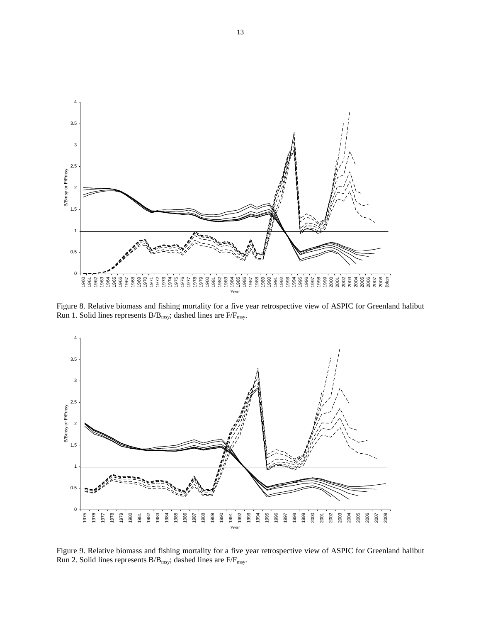

Figure 8. Relative biomass and fishing mortality for a five year retrospective view of ASPIC for Greenland halibut Run 1. Solid lines represents  $B/B_{\text{msy}}$ ; dashed lines are  $F/F_{\text{msy}}$ .



Figure 9. Relative biomass and fishing mortality for a five year retrospective view of ASPIC for Greenland halibut Run 2. Solid lines represents  $\rm B/B_{msy};$  dashed lines are F/F<sub>msy</sub>.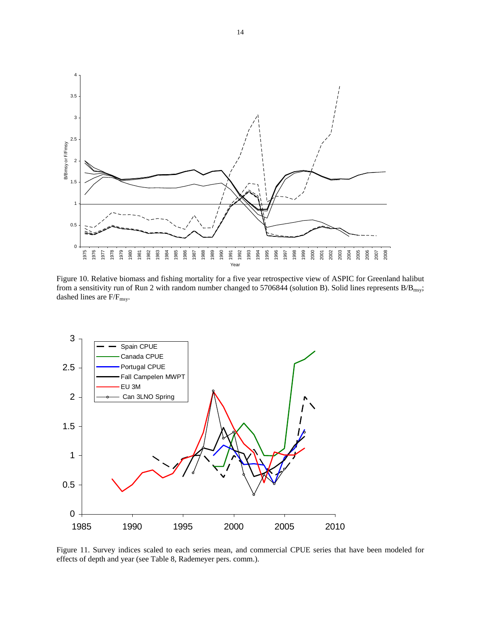

Figure 10. Relative biomass and fishing mortality for a five year retrospective view of ASPIC for Greenland halibut from a sensitivity run of Run 2 with random number changed to 5706844 (solution B). Solid lines represents  $B/B_{\rm msy}$ ; dashed lines are  $\rm F/F_{msy}.$ 



Figure 11. Survey indices scaled to each series mean, and commercial CPUE series that have been modeled for effects of depth and year (see Table 8, Rademeyer pers. comm.).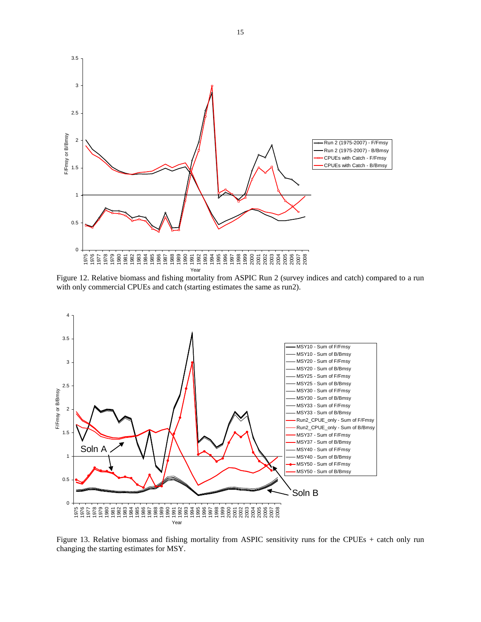

Figure 12. Relative biomass and fishing mortality from ASPIC Run 2 (survey indices and catch) compared to a run with only commercial CPUEs and catch (starting estimates the same as run2).



Figure 13. Relative biomass and fishing mortality from ASPIC sensitivity runs for the CPUEs + catch only run changing the starting estimates for MSY.